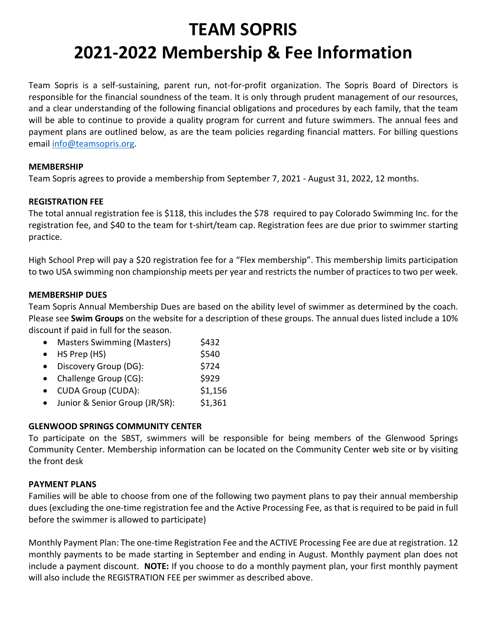# **TEAM SOPRIS 2021-2022 Membership & Fee Information**

Team Sopris is a self-sustaining, parent run, not-for-profit organization. The Sopris Board of Directors is responsible for the financial soundness of the team. It is only through prudent management of our resources, and a clear understanding of the following financial obligations and procedures by each family, that the team will be able to continue to provide a quality program for current and future swimmers. The annual fees and payment plans are outlined below, as are the team policies regarding financial matters. For billing questions email [info@teamsopris.org.](mailto:info@teamsopris.org)

# **MEMBERSHIP**

Team Sopris agrees to provide a membership from September 7, 2021 - August 31, 2022, 12 months.

# **REGISTRATION FEE**

The total annual registration fee is \$118, this includes the \$78 required to pay Colorado Swimming Inc. for the registration fee, and \$40 to the team for t-shirt/team cap. Registration fees are due prior to swimmer starting practice.

High School Prep will pay a \$20 registration fee for a "Flex membership". This membership limits participation to two USA swimming non championship meets per year and restricts the number of practices to two per week.

# **MEMBERSHIP DUES**

Team Sopris Annual Membership Dues are based on the ability level of swimmer as determined by the coach. Please see **Swim Groups** on the website for a description of these groups. The annual dues listed include a 10% discount if paid in full for the season.

|           | <b>Masters Swimming (Masters)</b> | \$432   |
|-----------|-----------------------------------|---------|
| $\bullet$ | HS Prep (HS)                      | \$540   |
|           | Discovery Group (DG):             | \$724   |
|           | Challenge Group (CG):             | \$929   |
|           | <b>CUDA Group (CUDA):</b>         | \$1,156 |

• Junior & Senior Group (JR/SR): \$1,361

# **GLENWOOD SPRINGS COMMUNITY CENTER**

To participate on the SBST, swimmers will be responsible for being members of the Glenwood Springs Community Center. Membership information can be located on the Community Center web site or by visiting the front desk

# **PAYMENT PLANS**

Families will be able to choose from one of the following two payment plans to pay their annual membership dues (excluding the one-time registration fee and the Active Processing Fee, as that is required to be paid in full before the swimmer is allowed to participate)

Monthly Payment Plan: The one-time Registration Fee and the ACTIVE Processing Fee are due at registration. 12 monthly payments to be made starting in September and ending in August. Monthly payment plan does not include a payment discount. **NOTE:** If you choose to do a monthly payment plan, your first monthly payment will also include the REGISTRATION FEE per swimmer as described above.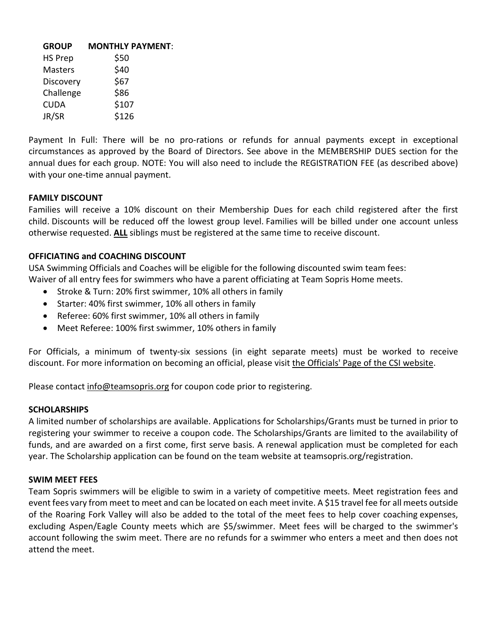| <b>MONTHLY PAYMENT:</b> |
|-------------------------|
| \$50                    |
| \$40                    |
| \$67                    |
| \$86                    |
| \$107                   |
| \$126                   |
|                         |

Payment In Full: There will be no pro-rations or refunds for annual payments except in exceptional circumstances as approved by the Board of Directors. See above in the MEMBERSHIP DUES section for the annual dues for each group. NOTE: You will also need to include the REGISTRATION FEE (as described above) with your one-time annual payment.

## **FAMILY DISCOUNT**

Families will receive a 10% discount on their Membership Dues for each child registered after the first child. Discounts will be reduced off the lowest group level. Families will be billed under one account unless otherwise requested. **ALL** siblings must be registered at the same time to receive discount.

## **OFFICIATING and COACHING DISCOUNT**

USA Swimming Officials and Coaches will be eligible for the following discounted swim team fees: Waiver of all entry fees for swimmers who have a parent officiating at Team Sopris Home meets.

- Stroke & Turn: 20% first swimmer, 10% all others in family
- Starter: 40% first swimmer, 10% all others in family
- Referee: 60% first swimmer, 10% all others in family
- Meet Referee: 100% first swimmer, 10% others in family

For Officials, a minimum of twenty-six sessions (in eight separate meets) must be worked to receive discount. For more information on becoming an official, please visit the Officials' Page of the CSI website.

Please contact info@teamsopris.org for coupon code prior to registering.

#### **SCHOLARSHIPS**

A limited number of scholarships are available. Applications for Scholarships/Grants must be turned in prior to registering your swimmer to receive a coupon code. The Scholarships/Grants are limited to the availability of funds, and are awarded on a first come, first serve basis. A renewal application must be completed for each year. The Scholarship application can be found on the team website at teamsopris.org/registration.

# **SWIM MEET FEES**

Team Sopris swimmers will be eligible to swim in a variety of competitive meets. Meet registration fees and event fees vary from meet to meet and can be located on each meet invite. A \$15 travel fee for all meets outside of the Roaring Fork Valley will also be added to the total of the meet fees to help cover coaching expenses, excluding Aspen/Eagle County meets which are \$5/swimmer. Meet fees will be charged to the swimmer's account following the swim meet. There are no refunds for a swimmer who enters a meet and then does not attend the meet.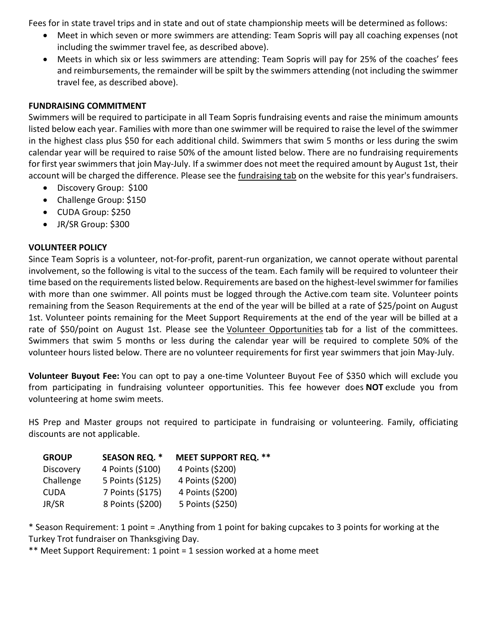Fees for in state travel trips and in state and out of state championship meets will be determined as follows:

- Meet in which seven or more swimmers are attending: Team Sopris will pay all coaching expenses (not including the swimmer travel fee, as described above).
- Meets in which six or less swimmers are attending: Team Sopris will pay for 25% of the coaches' fees and reimbursements, the remainder will be spilt by the swimmers attending (not including the swimmer travel fee, as described above).

# **FUNDRAISING COMMITMENT**

Swimmers will be required to participate in all Team Sopris fundraising events and raise the minimum amounts listed below each year. Families with more than one swimmer will be required to raise the level of the swimmer in the highest class plus \$50 for each additional child. Swimmers that swim 5 months or less during the swim calendar year will be required to raise 50% of the amount listed below. There are no fundraising requirements for first year swimmers that join May-July. If a swimmer does not meet the required amount by August 1st, their account will be charged the difference. Please see the fundraising tab on the website for this year's fundraisers.

- Discovery Group: \$100
- Challenge Group: \$150
- CUDA Group: \$250
- JR/SR Group: \$300

# **VOLUNTEER POLICY**

Since Team Sopris is a volunteer, not-for-profit, parent-run organization, we cannot operate without parental involvement, so the following is vital to the success of the team. Each family will be required to volunteer their time based on the requirements listed below. Requirements are based on the highest-level swimmer for families with more than one swimmer. All points must be logged through the Active.com team site. Volunteer points remaining from the Season Requirements at the end of the year will be billed at a rate of \$25/point on August 1st. Volunteer points remaining for the Meet Support Requirements at the end of the year will be billed at a rate of \$50/point on August 1st. Please see the Volunteer Opportunities tab for a list of the committees. Swimmers that swim 5 months or less during the calendar year will be required to complete 50% of the volunteer hours listed below. There are no volunteer requirements for first year swimmers that join May-July.

**Volunteer Buyout Fee:** You can opt to pay a one-time Volunteer Buyout Fee of \$350 which will exclude you from participating in fundraising volunteer opportunities. This fee however does **NOT** exclude you from volunteering at home swim meets.

HS Prep and Master groups not required to participate in fundraising or volunteering. Family, officiating discounts are not applicable.

| <b>GROUP</b> | <b>SEASON REQ. *</b> | <b>MEET SUPPORT REQ. **</b> |
|--------------|----------------------|-----------------------------|
| Discovery    | 4 Points (\$100)     | 4 Points (\$200)            |
| Challenge    | 5 Points (\$125)     | 4 Points (\$200)            |
| <b>CUDA</b>  | 7 Points (\$175)     | 4 Points (\$200)            |
| JR/SR        | 8 Points (\$200)     | 5 Points (\$250)            |

\* Season Requirement: 1 point = .Anything from 1 point for baking cupcakes to 3 points for working at the Turkey Trot fundraiser on Thanksgiving Day.

\*\* Meet Support Requirement: 1 point = 1 session worked at a home meet